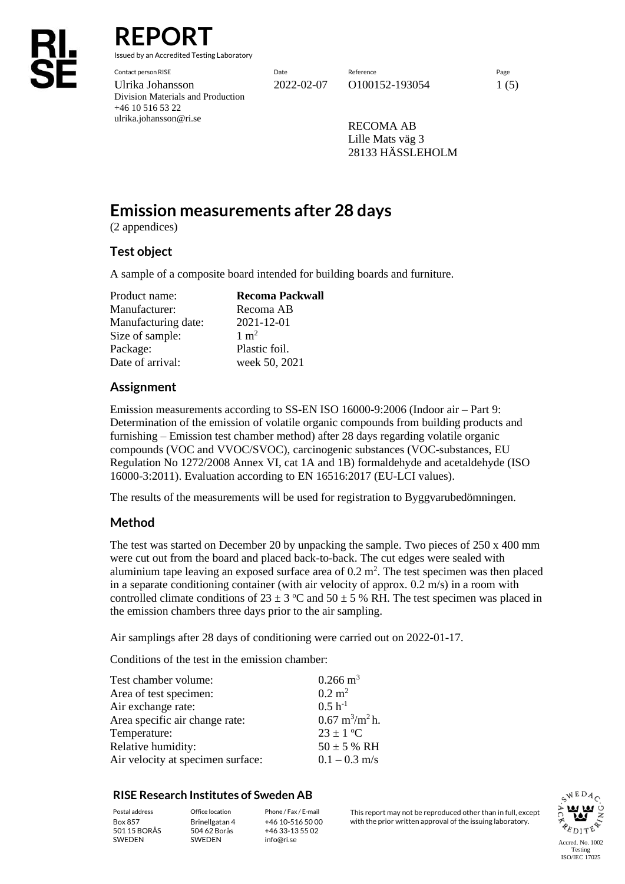# **REPORT**

Issued by an Accredited Testing Laboratory

Contact person RISE Date Reference Page Ulrika Johansson 2022-02-07 0100152-193054 1 (5) Division Materials and Production +46 10 516 53 22 ulrika.johansson@ri.se

RECOMA AB Lille Mats väg 3 28133 HÄSSLEHOLM

## **Emission measurements after 28 days**

(2 appendices)

## **Test object**

A sample of a composite board intended for building boards and furniture.

| Product name:       | <b>Recoma Packwall</b> |
|---------------------|------------------------|
| Manufacturer:       | Recoma AB              |
| Manufacturing date: | 2021-12-01             |
| Size of sample:     | $1 \text{ m}^2$        |
| Package:            | Plastic foil.          |
| Date of arrival:    | week 50, 2021          |

## **Assignment**

Emission measurements according to SS-EN ISO 16000-9:2006 (Indoor air – Part 9: Determination of the emission of volatile organic compounds from building products and furnishing – Emission test chamber method) after 28 days regarding volatile organic compounds (VOC and VVOC/SVOC), carcinogenic substances (VOC-substances, EU Regulation No 1272/2008 Annex VI, cat 1A and 1B) formaldehyde and acetaldehyde (ISO 16000-3:2011). Evaluation according to EN 16516:2017 (EU-LCI values).

The results of the measurements will be used for registration to Byggvarubedömningen.

## **Method**

The test was started on December 20 by unpacking the sample. Two pieces of 250 x 400 mm were cut out from the board and placed back-to-back. The cut edges were sealed with aluminium tape leaving an exposed surface area of  $0.2 \text{ m}^2$ . The test specimen was then placed in a separate conditioning container (with air velocity of approx.  $0.2 \text{ m/s}$ ) in a room with controlled climate conditions of  $23 \pm 3$  °C and  $50 \pm 5$  % RH. The test specimen was placed in the emission chambers three days prior to the air sampling.

Air samplings after 28 days of conditioning were carried out on 2022-01-17.

Conditions of the test in the emission chamber:

| Test chamber volume:              | $0.266 \text{ m}^3$                      |
|-----------------------------------|------------------------------------------|
| Area of test specimen:            | $0.2 \text{ m}^2$                        |
| Air exchange rate:                | $0.5 h^{-1}$                             |
| Area specific air change rate:    | $0.67 \text{ m}^3/\text{m}^2 \text{h}$ . |
| Temperature:                      | $23 \pm 1$ °C                            |
| Relative humidity:                | $50 \pm 5$ % RH                          |
| Air velocity at specimen surface: | $0.1 - 0.3$ m/s                          |

### **RISE Research Institutes of Sweden AB**

501 15 BORÅS SWEDEN

Brinellgatan 4 504 62 Borås SWEDEN

+46 10-516 50 00 +46 33-13 55 02 info@ri.se

Postal address Office location Phone / Fax / E-mail This report may not be reproduced other than in full, except Box 857 Brinellgatan 4 +46 10-516 50 00 with the prior written approval of the issuing laboratory.

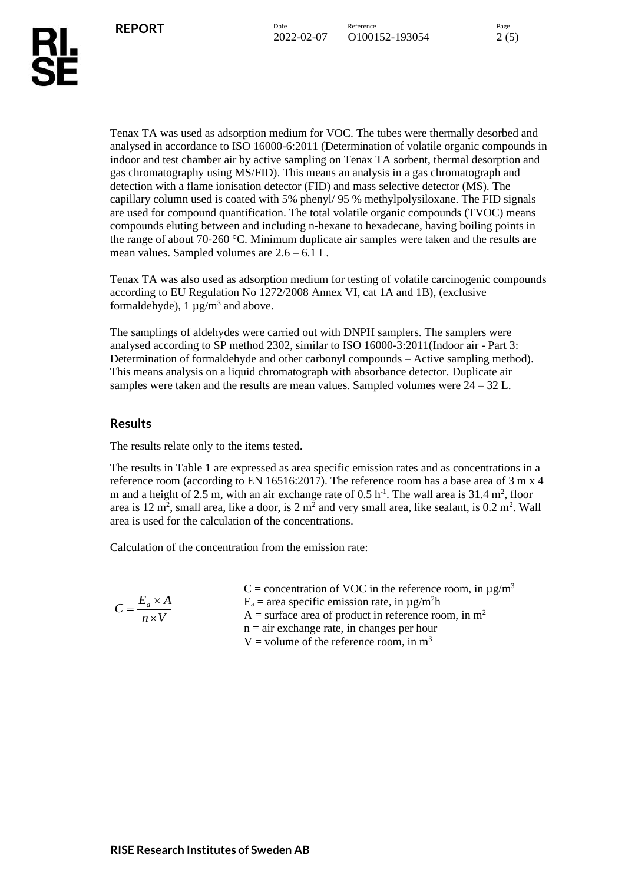Tenax TA was used as adsorption medium for VOC. The tubes were thermally desorbed and analysed in accordance to ISO 16000-6:2011 (Determination of volatile organic compounds in indoor and test chamber air by active sampling on Tenax TA sorbent, thermal desorption and gas chromatography using MS/FID). This means an analysis in a gas chromatograph and detection with a flame ionisation detector (FID) and mass selective detector (MS). The capillary column used is coated with 5% phenyl/ 95 % methylpolysiloxane. The FID signals are used for compound quantification. The total volatile organic compounds (TVOC) means compounds eluting between and including n-hexane to hexadecane, having boiling points in the range of about 70-260 °C. Minimum duplicate air samples were taken and the results are mean values. Sampled volumes are 2.6 – 6.1 L.

Tenax TA was also used as adsorption medium for testing of volatile carcinogenic compounds according to EU Regulation No 1272/2008 Annex VI, cat 1A and 1B), (exclusive formaldehyde),  $1 \mu g/m^3$  and above.

The samplings of aldehydes were carried out with DNPH samplers. The samplers were analysed according to SP method 2302, similar to ISO 16000-3:2011(Indoor air - Part 3: Determination of formaldehyde and other carbonyl compounds – Active sampling method). This means analysis on a liquid chromatograph with absorbance detector. Duplicate air samples were taken and the results are mean values. Sampled volumes were 24 – 32 L.

## **Results**

The results relate only to the items tested.

The results in Table 1 are expressed as area specific emission rates and as concentrations in a reference room (according to EN 16516:2017). The reference room has a base area of 3 m x 4 m and a height of 2.5 m, with an air exchange rate of  $0.5 \text{ h}^{-1}$ . The wall area is 31.4 m<sup>2</sup>, floor area is 12 m<sup>2</sup>, small area, like a door, is 2 m<sup>2</sup> and very small area, like sealant, is  $0.2$  m<sup>2</sup>. Wall area is used for the calculation of the concentrations.

Calculation of the concentration from the emission rate:

|                              | C = concentration of VOC in the reference room, in $\mu$ g/m <sup>3</sup> |
|------------------------------|---------------------------------------------------------------------------|
| $C = \frac{E_a \times A}{4}$ | $E_a$ = area specific emission rate, in $\mu$ g/m <sup>2</sup> h          |
| $n \times V$                 | $A =$ surface area of product in reference room, in m <sup>2</sup>        |
|                              | $n =$ air exchange rate, in changes per hour                              |
|                              | V = volume of the reference room, in $m3$                                 |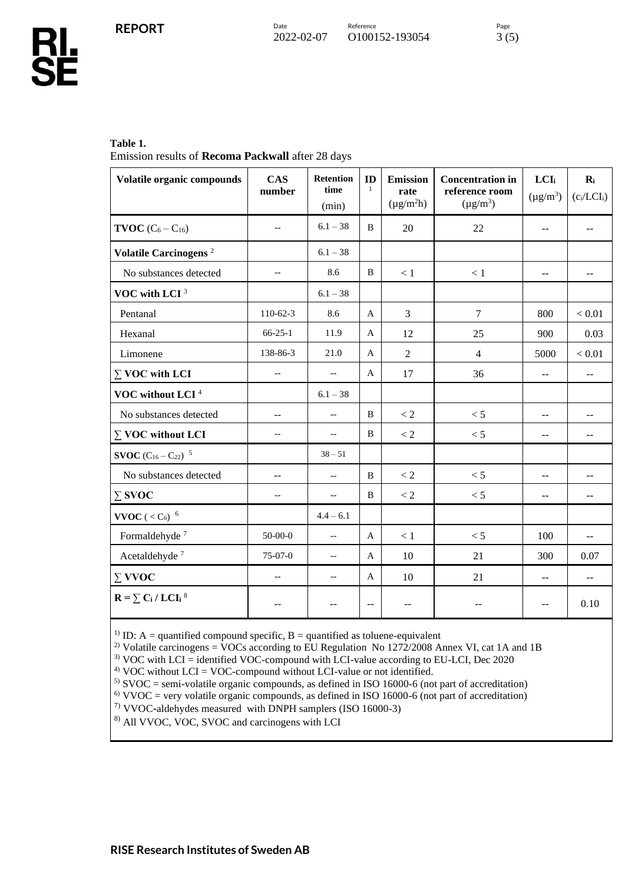Ř

#### **Table 1.**

Emission results of **Recoma Packwall** after 28 days

| Volatile organic compounds                                                  | <b>CAS</b><br>number     | <b>Retention</b><br>time<br>(min) | ID<br>$\mathbf{1}$       | <b>Emission</b><br>rate<br>$(\mu g/m^2 h)$ | <b>Concentration in</b><br>reference room<br>$(\mu g/m^3)$ | LCI <sub>i</sub><br>$(\mu g/m^3)$ | $\mathbf{R}_{i}$<br>$(c_i/LCI_i)$ |
|-----------------------------------------------------------------------------|--------------------------|-----------------------------------|--------------------------|--------------------------------------------|------------------------------------------------------------|-----------------------------------|-----------------------------------|
| <b>TVOC</b> $(C_6 - C_{16})$                                                | $-$                      | $6.1 - 38$                        | B                        | 20                                         | 22                                                         | $\overline{\phantom{a}}$          | $-$                               |
| Volatile Carcinogens <sup>2</sup>                                           |                          | $6.1 - 38$                        |                          |                                            |                                                            |                                   |                                   |
| No substances detected                                                      | $\overline{\phantom{a}}$ | 8.6                               | B                        | $<1\,$                                     | $<1\,$                                                     | $-$                               | $-$                               |
| VOC with LCI <sup>3</sup>                                                   |                          | $6.1 - 38$                        |                          |                                            |                                                            |                                   |                                   |
| Pentanal                                                                    | 110-62-3                 | 8.6                               | A                        | 3                                          | $\overline{7}$                                             | 800                               | < 0.01                            |
| Hexanal                                                                     | $66 - 25 - 1$            | 11.9                              | A                        | 12                                         | 25                                                         | 900                               | 0.03                              |
| Limonene                                                                    | 138-86-3                 | 21.0                              | A                        | $\overline{2}$                             | $\overline{4}$                                             | 5000                              | < 0.01                            |
| $\Sigma$ VOC with LCI                                                       | $-$                      | $\overline{\phantom{a}}$          | A                        | 17                                         | 36                                                         | $\mathbf{u}$                      | $-$                               |
| VOC without LCI <sup>4</sup>                                                |                          | $6.1 - 38$                        |                          |                                            |                                                            |                                   |                                   |
| No substances detected                                                      | --                       | $-\, -$                           | B                        | $< 2\,$                                    | < 5                                                        | $\overline{\phantom{m}}$          | --                                |
| $\Sigma$ VOC without LCI                                                    | $-$                      | $\overline{\phantom{a}}$          | B                        | $< 2\,$                                    | < 5                                                        | $-$                               | --                                |
| <b>SVOC</b> $(C_{16} - C_{22})^{-5}$                                        |                          | $38 - 51$                         |                          |                                            |                                                            |                                   |                                   |
| No substances detected                                                      | --                       | $\overline{\phantom{a}}$          | B                        | $\lt 2$                                    | < 5                                                        | $-$                               | --                                |
| $\Sigma$ SVOC                                                               | $-$                      | $-\, -$                           | B                        | $< 2\,$                                    | < 5                                                        | $\sim$ $\sim$                     | --                                |
| VVOC ( $<$ C <sub>6</sub> ) $6$                                             |                          | $4.4 - 6.1$                       |                          |                                            |                                                            |                                   |                                   |
| Formaldehyde <sup>7</sup>                                                   | $50 - 00 - 0$            | $\overline{\phantom{a}}$          | $\overline{A}$           | $<1\,$                                     | < 5                                                        | 100                               | $-$                               |
| Acetaldehyde <sup>7</sup>                                                   | 75-07-0                  | $-\, -$                           | A                        | 10                                         | 21                                                         | 300                               | 0.07                              |
| $\Sigma$ VVOC                                                               | $-$                      | $\overline{\phantom{a}}$          | A                        | 10                                         | 21                                                         | $\overline{a}$                    | $-$                               |
| $\mathbf{R} = \sum_{i} \mathbf{C_i} / \mathbf{L} \mathbf{C} \mathbf{I_i}^8$ |                          | --                                | $\overline{\phantom{a}}$ | --                                         |                                                            | $-$                               | 0.10                              |

<sup>1)</sup> ID: A = quantified compound specific, B = quantified as toluene-equivalent

<sup>2)</sup> Volatile carcinogens = VOCs according to EU Regulation No 1272/2008 Annex VI, cat 1A and 1B

<sup>3)</sup> VOC with LCI = identified VOC-compound with LCI-value according to EU-LCI, Dec 2020

 $4)$  VOC without LCI = VOC-compound without LCI-value or not identified.

5) SVOC = semi-volatile organic compounds, as defined in ISO 16000-6 (not part of accreditation)

 $6)$  VVOC = very volatile organic compounds, as defined in ISO 16000-6 (not part of accreditation)

7) VVOC-aldehydes measured with DNPH samplers (ISO 16000-3)

8) All VVOC, VOC, SVOC and carcinogens with LCI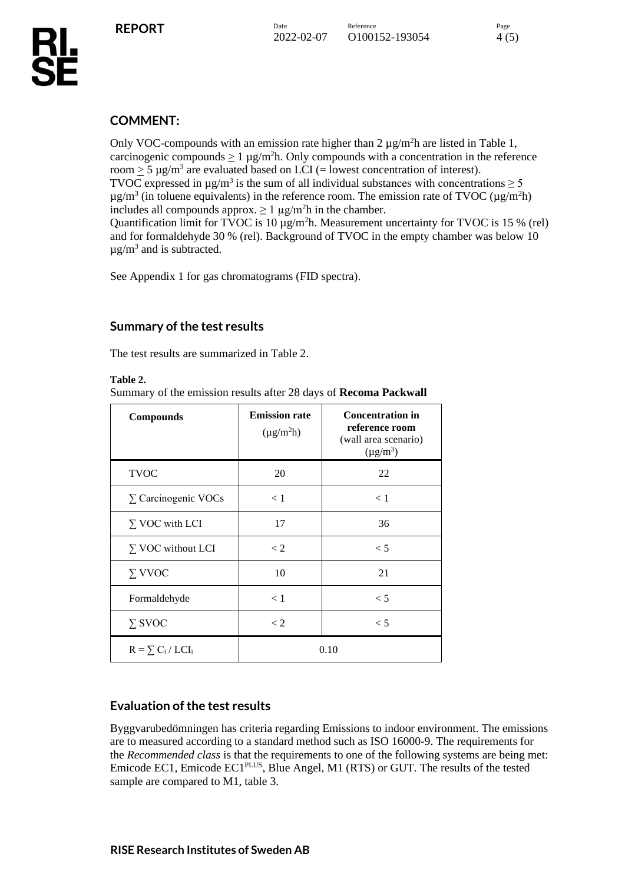Only VOC-compounds with an emission rate higher than  $2 \mu g/m^2 h$  are listed in Table 1, carcinogenic compounds  $\geq 1 \mu g/m^2 h$ . Only compounds with a concentration in the reference room  $\geq 5 \mu$ g/m<sup>3</sup> are evaluated based on LCI (= lowest concentration of interest). TVOC expressed in  $\mu$ g/m<sup>3</sup> is the sum of all individual substances with concentrations  $\geq$  5  $\mu$ g/m<sup>3</sup> (in toluene equivalents) in the reference room. The emission rate of TVOC ( $\mu$ g/m<sup>2</sup>h) includes all compounds approx.  $\geq 1 \mu g/m^2 h$  in the chamber. Quantification limit for TVOC is  $10 \mu g/m^2 h$ . Measurement uncertainty for TVOC is 15 % (rel) and for formaldehyde 30 % (rel). Background of TVOC in the empty chamber was below 10  $\mu$ g/m<sup>3</sup> and is subtracted.

See Appendix 1 for gas chromatograms (FID spectra).

## **Summary of the test results**

The test results are summarized in Table 2.

#### **Table 2.**

Summary of the emission results after 28 days of **Recoma Packwall** 

| <b>Compounds</b>           | <b>Emission rate</b><br>$(\mu g/m^2 h)$ | <b>Concentration in</b><br>reference room<br>(wall area scenario)<br>$(\mu g/m^3)$ |
|----------------------------|-----------------------------------------|------------------------------------------------------------------------------------|
| <b>TVOC</b>                | 20                                      | 22                                                                                 |
| $\Sigma$ Carcinogenic VOCs | < 1                                     | < 1                                                                                |
| $\Sigma$ VOC with LCI      | 17                                      | 36                                                                                 |
| $\Sigma$ VOC without LCI   | $\lt 2$                                 | $\lt$ 5                                                                            |
| $\Sigma$ VVOC              | 10                                      | 21                                                                                 |
| Formaldehyde               | $\leq 1$                                | < 5                                                                                |
| $\Sigma$ SVOC              | $\lt 2$                                 | < 5                                                                                |
| $R = \sum_{i} C_i / LCI_i$ |                                         | 0.10                                                                               |

## **Evaluation of the test results**

Byggvarubedömningen has criteria regarding Emissions to indoor environment. The emissions are to measured according to a standard method such as ISO 16000-9. The requirements for the *Recommended class* is that the requirements to one of the following systems are being met: Emicode EC1, Emicode EC1PLUS, Blue Angel, M1 (RTS) or GUT. The results of the tested sample are compared to M1, table 3.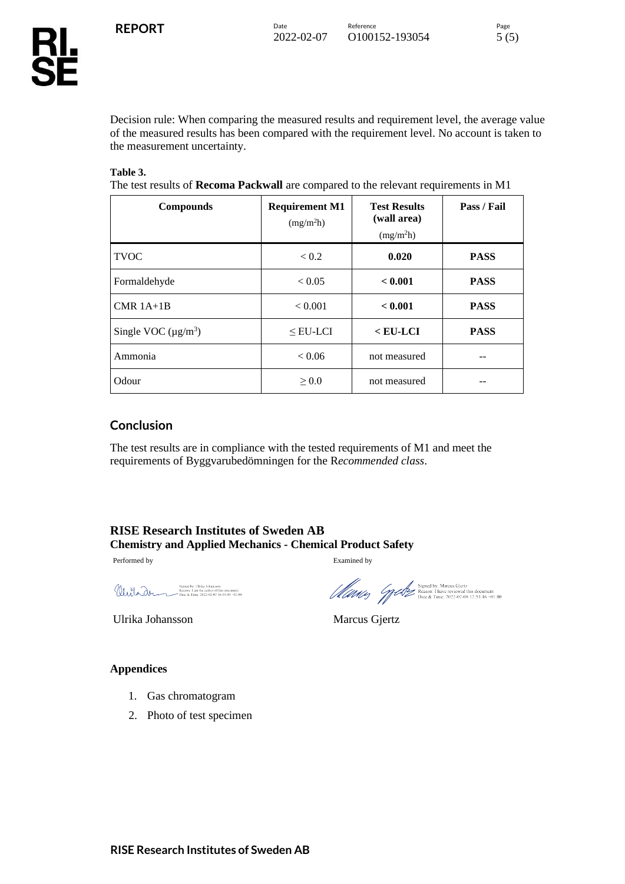Б

Decision rule: When comparing the measured results and requirement level, the average value of the measured results has been compared with the requirement level. No account is taken to the measurement uncertainty.

#### **Table 3.**

The test results of **Recoma Packwall** are compared to the relevant requirements in M1

| <b>Compounds</b>         | <b>Requirement M1</b><br>(mg/m <sup>2</sup> h) | <b>Test Results</b><br>(wall area)<br>(mg/m <sup>2</sup> h) | Pass / Fail |
|--------------------------|------------------------------------------------|-------------------------------------------------------------|-------------|
| <b>TVOC</b>              | < 0.2                                          | 0.020                                                       | <b>PASS</b> |
| Formaldehyde             | < 0.05                                         | < 0.001                                                     | <b>PASS</b> |
| $CMR$ 1A+1B              | < 0.001                                        | < 0.001                                                     | <b>PASS</b> |
| Single VOC $(\mu g/m^3)$ | $<$ EU-LCI                                     | $<$ EU-LCI                                                  | <b>PASS</b> |
| Ammonia                  | < 0.06                                         | not measured                                                |             |
| Odour                    | $\geq 0.0$                                     | not measured                                                |             |

## **Conclusion**

The test results are in compliance with the tested requirements of M1 and meet the requirements of Byggvarubedömningen for the R*ecommended class*.

## **RISE Research Institutes of Sweden AB Chemistry and Applied Mechanics - Chemical Product Safety**

Performed by Examined by Examined by

Signed by: Ulrika Johansson<br>Reason: I am the author of this document<br>Thate & Time:  $2022-02-0716:09:49+01:00$ Wirlar

Ulrika Johansson Marcus Gjertz

The Signed by: Marcus Gjertz<br>
Manage Constant Reason: 1 have reviewed this document<br>
Date & Time: 2022-02-08 12:53:46 +01:00

#### **Appendices**

- 1. Gas chromatogram
- 2. Photo of test specimen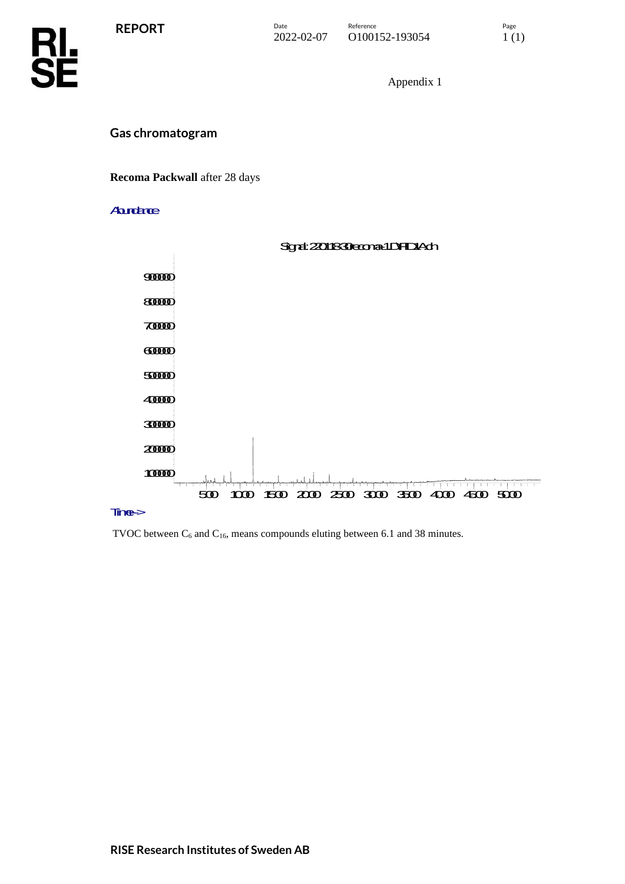**REPORT**



Appendix 1

## **Gas chromatogram**

#### **Recoma Packwall** after 28 days

#### **Aurdance**



#### Tine->

TVOC between  $C_6$  and  $C_{16}$ , means compounds eluting between 6.1 and 38 minutes.